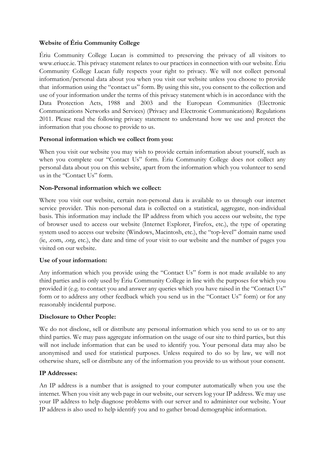# **Website of Ériu Community College**

Ériu Community College Lucan is committed to preserving the privacy of all visitors to www.eriucc.ie. This privacy statement relates to our practices in connection with our website. Ériu Community College Lucan fully respects your right to privacy. We will not collect personal information/personal data about you when you visit our website unless you choose to provide that information using the "contact us" form. By using this site, you consent to the collection and use of your information under the terms of this privacy statement which is in accordance with the Data Protection Acts, 1988 and 2003 and the European Communities (Electronic Communications Networks and Services) (Privacy and Electronic Communications) Regulations 2011. Please read the following privacy statement to understand how we use and protect the information that you choose to provide to us.

# **Personal information which we collect from you:**

When you visit our website you may wish to provide certain information about yourself, such as when you complete our "Contact Us" form. Ériu Community College does not collect any personal data about you on this website, apart from the information which you volunteer to send us in the "Contact Us" form.

# **Non-Personal information which we collect:**

Where you visit our website, certain non-personal data is available to us through our internet service provider. This non-personal data is collected on a statistical, aggregate, non-individual basis. This information may include the IP address from which you access our website, the type of browser used to access our website (Internet Explorer, Firefox, etc.), the type of operating system used to access our website (Windows, Macintosh, etc.), the "top-level" domain name used (ie, .com, .org, etc.), the date and time of your visit to our website and the number of pages you visited on our website.

# **Use of your information:**

Any information which you provide using the "Contact Us" form is not made available to any third parties and is only used by Ériu Community College in line with the purposes for which you provided it (e.g. to contact you and answer any queries which you have raised in the "Contact Us" form or to address any other feedback which you send us in the "Contact Us" form) or for any reasonably incidental purpose.

# **Disclosure to Other People:**

We do not disclose, sell or distribute any personal information which you send to us or to any third parties. We may pass aggregate information on the usage of our site to third parties, but this will not include information that can be used to identify you. Your personal data may also be anonymised and used for statistical purposes. Unless required to do so by law, we will not otherwise share, sell or distribute any of the information you provide to us without your consent.

# **IP Addresses:**

An IP address is a number that is assigned to your computer automatically when you use the internet. When you visit any web page in our website, our servers log your IP address. We may use your IP address to help diagnose problems with our server and to administer our website. Your IP address is also used to help identify you and to gather broad demographic information.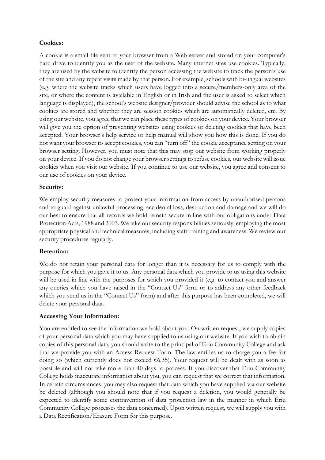## **Cookies:**

A cookie is a small file sent to your browser from a Web server and stored on your computer's hard drive to identify you as the user of the website. Many internet sites use cookies. Typically, they are used by the website to identify the person accessing the website to track the person's use of the site and any repeat visits made by that person. For example, schools with bi-lingual websites (e.g. where the website tracks which users have logged into a secure/members-only area of the site, or where the content is available in English or in Irish and the user is asked to select which language is displayed), the school's website designer/provider should advise the school as to what cookies are stored and whether they are session cookies which are automatically deleted, etc. By using our website, you agree that we can place these types of cookies on your device. Your browser will give you the option of preventing websites using cookies or deleting cookies that have been accepted. Your browser's help service or help manual will show you how this is done. If you do not want your browser to accept cookies, you can "turn off" the cookie acceptance setting on your browser setting. However, you must note that this may stop our website from working properly on your device. If you do not change your browser settings to refuse cookies, our website will issue cookies when you visit our website. If you continue to use our website, you agree and consent to our use of cookies on your device.

## **Security:**

We employ security measures to protect your information from access by unauthorised persons and to guard against unlawful processing, accidental loss, destruction and damage and we will do our best to ensure that all records we hold remain secure in line with our obligations under Data Protection Acts, 1988 and 2003. We take our security responsibilities seriously, employing the most appropriate physical and technical measures, including staff training and awareness. We review our security procedures regularly.

## **Retention:**

We do not retain your personal data for longer than it is necessary for us to comply with the purpose for which you gave it to us. Any personal data which you provide to us using this website will be used in line with the purposes for which you provided it (e.g. to contact you and answer any queries which you have raised in the "Contact Us" form or to address any other feedback which you send us in the "Contact Us" form) and after this purpose has been completed, we will delete your personal data.

## **Accessing Your Information:**

You are entitled to see the information we hold about you. On written request, we supply copies of your personal data which you may have supplied to us using our website. If you wish to obtain copies of this personal data, you should write to the principal of Ériu Community College and ask that we provide you with an Access Request Form. The law entitles us to charge you a fee for doing so (which currently does not exceed  $6.35$ ). Your request will be dealt with as soon as possible and will not take more than 40 days to process. If you discover that Ériu Community College holds inaccurate information about you, you can request that we correct that information. In certain circumstances, you may also request that data which you have supplied via our website be deleted (although you should note that if you request a deletion, you would generally be expected to identify some contravention of data protection law in the manner in which Ériu Community College processes the data concerned). Upon written request, we will supply you with a Data Rectification/Erasure Form for this purpose.